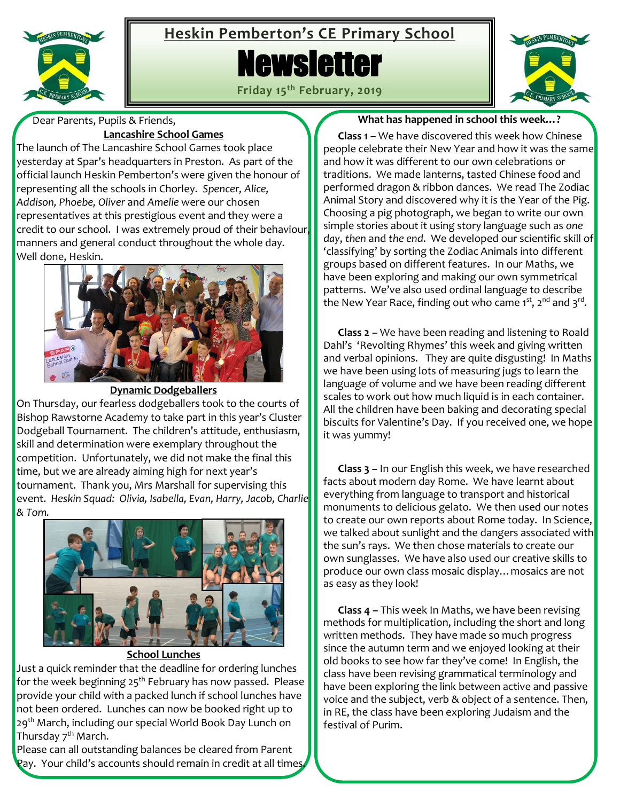

## **Heskin Pemberton's CE Primary School**

# **Newsletter**



**Friday 15th February, 2019**

 Dear Parents, Pupils & Friends, **Lancashire School Games**

The launch of The Lancashire School Games took place yesterday at Spar's headquarters in Preston. As part of the official launch Heskin Pemberton's were given the honour of representing all the schools in Chorley. *Spencer, Alice, Addison, Phoebe, Oliver* and *Amelie* were our chosen representatives at this prestigious event and they were a credit to our school. I was extremely proud of their behaviour manners and general conduct throughout the whole day. Well done, Heskin.



**Dynamic Dodgeballers**

On Thursday, our fearless dodgeballers took to the courts of Bishop Rawstorne Academy to take part in this year's Cluster Dodgeball Tournament. The children's attitude, enthusiasm, skill and determination were exemplary throughout the competition. Unfortunately, we did not make the final this time, but we are already aiming high for next year's tournament. Thank you, Mrs Marshall for supervising this event. *Heskin Squad: Olivia, Isabella, Evan, Harry, Jacob, Charlie & Tom.*



**School Lunches** Just a quick reminder that the deadline for ordering lunches for the week beginning  $25<sup>th</sup>$  February has now passed. Please provide your child with a packed lunch if school lunches have not been ordered. Lunches can now be booked right up to 29<sup>th</sup> March, including our special World Book Day Lunch on Thursday 7<sup>th</sup> March.

Please can all outstanding balances be cleared from Parent Pay. Your child's accounts should remain in credit at all times.

#### **What has happened in school this week…?**

 **Class 1 –** We have discovered this week how Chinese people celebrate their New Year and how it was the same and how it was different to our own celebrations or traditions. We made lanterns, tasted Chinese food and performed dragon & ribbon dances. We read The Zodiac Animal Story and discovered why it is the Year of the Pig. Choosing a pig photograph, we began to write our own simple stories about it using story language such as *one day*, *then* and *the end*. We developed our scientific skill of 'classifying' by sorting the Zodiac Animals into different groups based on different features. In our Maths, we have been exploring and making our own symmetrical patterns. We've also used ordinal language to describe the New Year Race, finding out who came 1st, 2<sup>nd</sup> and 3<sup>rd</sup>.

 **Class 2 –** We have been reading and listening to Roald Dahl's 'Revolting Rhymes' this week and giving written and verbal opinions. They are quite disgusting! In Maths we have been using lots of measuring jugs to learn the language of volume and we have been reading different scales to work out how much liquid is in each container. All the children have been baking and decorating special biscuits for Valentine's Day. If you received one, we hope it was yummy!

 **Class 3 –** In our English this week, we have researched facts about modern day Rome. We have learnt about everything from language to transport and historical monuments to delicious gelato. We then used our notes to create our own reports about Rome today. In Science, we talked about sunlight and the dangers associated with the sun's rays. We then chose materials to create our own sunglasses. We have also used our creative skills to produce our own class mosaic display…mosaics are not as easy as they look!

 **Class 4 –** This week In Maths, we have been revising methods for multiplication, including the short and long written methods. They have made so much progress since the autumn term and we enjoyed looking at their old books to see how far they've come! In English, the class have been revising grammatical terminology and have been exploring the link between active and passive voice and the subject, verb & object of a sentence. Then, in RE, the class have been exploring Judaism and the festival of Purim.